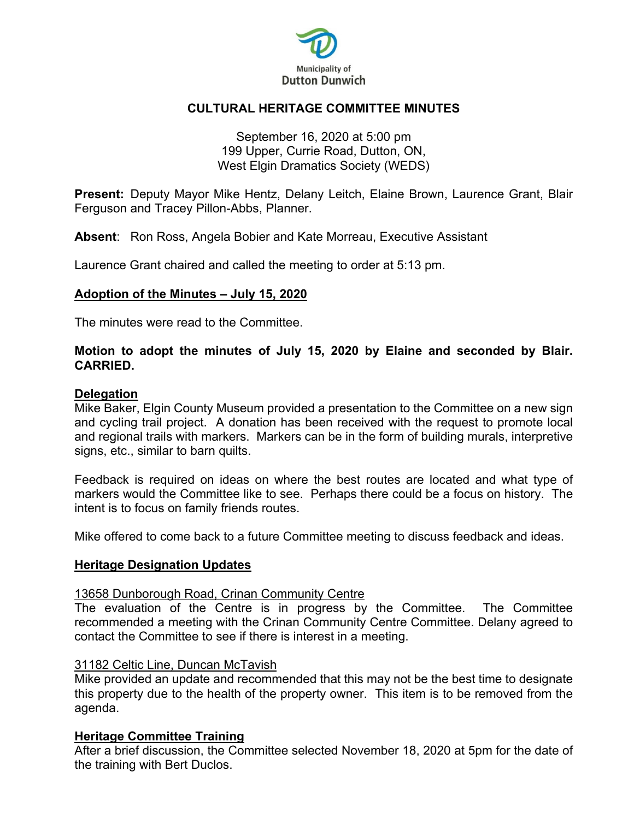

## **CULTURAL HERITAGE COMMITTEE MINUTES**

### September 16, 2020 at 5:00 pm 199 Upper, Currie Road, Dutton, ON, West Elgin Dramatics Society (WEDS)

**Present:** Deputy Mayor Mike Hentz, Delany Leitch, Elaine Brown, Laurence Grant, Blair Ferguson and Tracey Pillon-Abbs, Planner.

**Absent**: Ron Ross, Angela Bobier and Kate Morreau, Executive Assistant

Laurence Grant chaired and called the meeting to order at 5:13 pm.

### **Adoption of the Minutes – July 15, 2020**

The minutes were read to the Committee.

### **Motion to adopt the minutes of July 15, 2020 by Elaine and seconded by Blair. CARRIED.**

#### **Delegation**

Mike Baker, Elgin County Museum provided a presentation to the Committee on a new sign and cycling trail project. A donation has been received with the request to promote local and regional trails with markers. Markers can be in the form of building murals, interpretive signs, etc., similar to barn quilts.

Feedback is required on ideas on where the best routes are located and what type of markers would the Committee like to see. Perhaps there could be a focus on history. The intent is to focus on family friends routes.

Mike offered to come back to a future Committee meeting to discuss feedback and ideas.

#### **Heritage Designation Updates**

#### 13658 Dunborough Road, Crinan Community Centre

The evaluation of the Centre is in progress by the Committee. The Committee recommended a meeting with the Crinan Community Centre Committee. Delany agreed to contact the Committee to see if there is interest in a meeting.

#### 31182 Celtic Line, Duncan McTavish

Mike provided an update and recommended that this may not be the best time to designate this property due to the health of the property owner. This item is to be removed from the agenda.

#### **Heritage Committee Training**

After a brief discussion, the Committee selected November 18, 2020 at 5pm for the date of the training with Bert Duclos.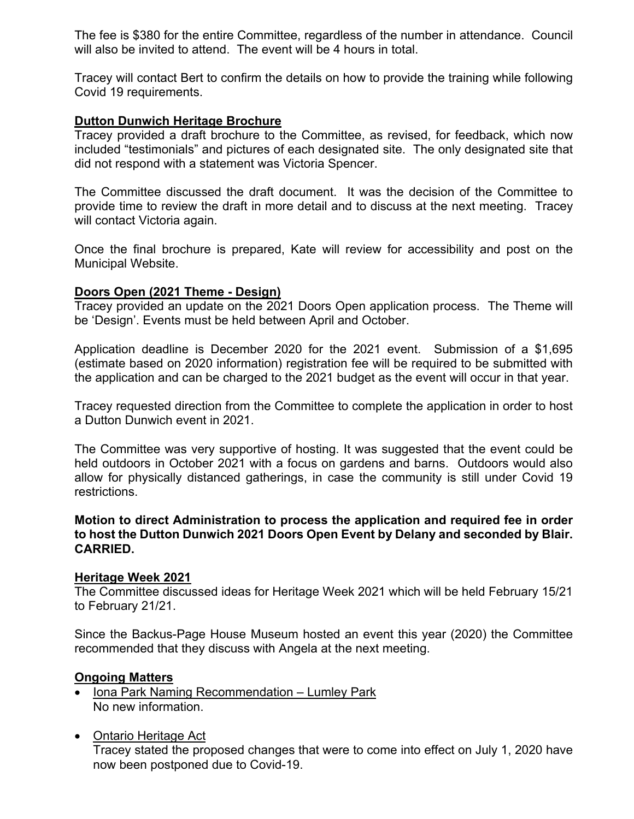The fee is \$380 for the entire Committee, regardless of the number in attendance. Council will also be invited to attend. The event will be 4 hours in total.

Tracey will contact Bert to confirm the details on how to provide the training while following Covid 19 requirements.

### **Dutton Dunwich Heritage Brochure**

Tracey provided a draft brochure to the Committee, as revised, for feedback, which now included "testimonials" and pictures of each designated site. The only designated site that did not respond with a statement was Victoria Spencer.

The Committee discussed the draft document. It was the decision of the Committee to provide time to review the draft in more detail and to discuss at the next meeting. Tracey will contact Victoria again.

Once the final brochure is prepared, Kate will review for accessibility and post on the Municipal Website.

### **Doors Open (2021 Theme - Design)**

Tracey provided an update on the 2021 Doors Open application process. The Theme will be 'Design'. Events must be held between April and October.

Application deadline is December 2020 for the 2021 event. Submission of a \$1,695 (estimate based on 2020 information) registration fee will be required to be submitted with the application and can be charged to the 2021 budget as the event will occur in that year.

Tracey requested direction from the Committee to complete the application in order to host a Dutton Dunwich event in 2021.

The Committee was very supportive of hosting. It was suggested that the event could be held outdoors in October 2021 with a focus on gardens and barns. Outdoors would also allow for physically distanced gatherings, in case the community is still under Covid 19 restrictions.

### **Motion to direct Administration to process the application and required fee in order to host the Dutton Dunwich 2021 Doors Open Event by Delany and seconded by Blair. CARRIED.**

#### **Heritage Week 2021**

The Committee discussed ideas for Heritage Week 2021 which will be held February 15/21 to February 21/21.

Since the Backus-Page House Museum hosted an event this year (2020) the Committee recommended that they discuss with Angela at the next meeting.

### **Ongoing Matters**

- Iona Park Naming Recommendation Lumley Park No new information.
- Ontario Heritage Act Tracey stated the proposed changes that were to come into effect on July 1, 2020 have now been postponed due to Covid-19.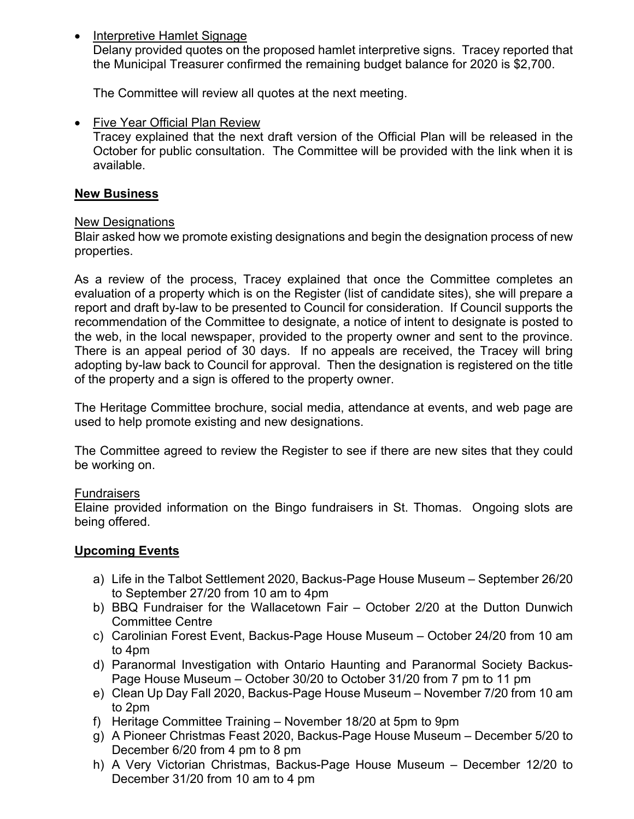• Interpretive Hamlet Signage

Delany provided quotes on the proposed hamlet interpretive signs. Tracey reported that the Municipal Treasurer confirmed the remaining budget balance for 2020 is \$2,700.

The Committee will review all quotes at the next meeting.

• Five Year Official Plan Review

Tracey explained that the next draft version of the Official Plan will be released in the October for public consultation. The Committee will be provided with the link when it is available.

## **New Business**

## New Designations

Blair asked how we promote existing designations and begin the designation process of new properties.

As a review of the process, Tracey explained that once the Committee completes an evaluation of a property which is on the Register (list of candidate sites), she will prepare a report and draft by-law to be presented to Council for consideration. If Council supports the recommendation of the Committee to designate, a notice of intent to designate is posted to the web, in the local newspaper, provided to the property owner and sent to the province. There is an appeal period of 30 days. If no appeals are received, the Tracey will bring adopting by-law back to Council for approval. Then the designation is registered on the title of the property and a sign is offered to the property owner.

The Heritage Committee brochure, social media, attendance at events, and web page are used to help promote existing and new designations.

The Committee agreed to review the Register to see if there are new sites that they could be working on.

### **Fundraisers**

Elaine provided information on the Bingo fundraisers in St. Thomas. Ongoing slots are being offered.

# **Upcoming Events**

- a) Life in the Talbot Settlement 2020, Backus-Page House Museum September 26/20 to September 27/20 from 10 am to 4pm
- b) BBQ Fundraiser for the Wallacetown Fair October 2/20 at the Dutton Dunwich Committee Centre
- c) Carolinian Forest Event, Backus-Page House Museum October 24/20 from 10 am to 4pm
- d) Paranormal Investigation with Ontario Haunting and Paranormal Society Backus-Page House Museum – October 30/20 to October 31/20 from 7 pm to 11 pm
- e) Clean Up Day Fall 2020, Backus-Page House Museum November 7/20 from 10 am to 2pm
- f) Heritage Committee Training November 18/20 at 5pm to 9pm
- g) A Pioneer Christmas Feast 2020, Backus-Page House Museum December 5/20 to December 6/20 from 4 pm to 8 pm
- h) A Very Victorian Christmas, Backus-Page House Museum December 12/20 to December 31/20 from 10 am to 4 pm